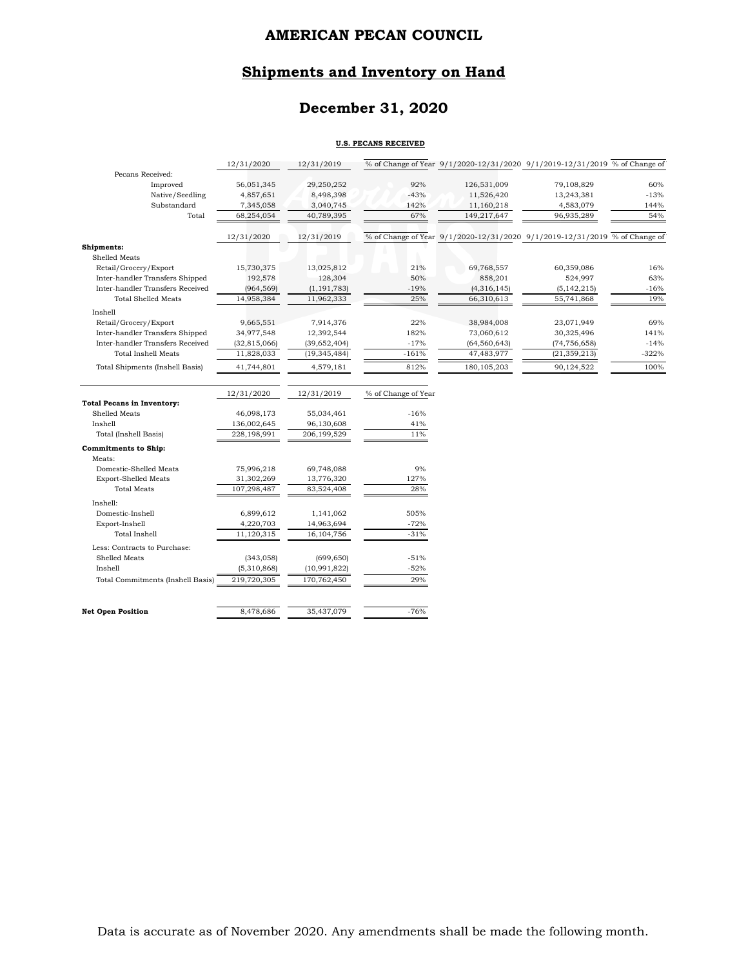## **Shipments and Inventory on Hand**

## **December 31, 2020**

#### **U.S. PECANS RECEIVED**

|                                   | 12/31/2020     | 12/31/2019     |                     | % of Change of Year 9/1/2020-12/31/2020 9/1/2019-12/31/2019 % of Change of |                |         |
|-----------------------------------|----------------|----------------|---------------------|----------------------------------------------------------------------------|----------------|---------|
| Pecans Received:                  |                |                |                     |                                                                            |                |         |
| Improved                          | 56,051,345     | 29,250,252     | 92%                 | 126,531,009                                                                | 79,108,829     | 60%     |
| Native/Seedling                   | 4,857,651      | 8,498,398      | $-43%$              | 11,526,420                                                                 | 13,243,381     | $-13%$  |
| Substandard                       | 7,345,058      | 3,040,745      | 142%                | 11,160,218                                                                 | 4,583,079      | 144%    |
| Total                             | 68,254,054     | 40,789,395     | 67%                 | 149,217,647                                                                | 96,935,289     | 54%     |
|                                   | 12/31/2020     | 12/31/2019     |                     | % of Change of Year 9/1/2020-12/31/2020 9/1/2019-12/31/2019 % of Change of |                |         |
| Shipments:                        |                |                |                     |                                                                            |                |         |
| Shelled Meats                     |                |                |                     |                                                                            |                |         |
| Retail/Grocery/Export             | 15,730,375     | 13,025,812     | 21%                 | 69,768,557                                                                 | 60,359,086     | 16%     |
| Inter-handler Transfers Shipped   | 192,578        | 128,304        | 50%                 | 858,201                                                                    | 524,997        | 63%     |
| Inter-handler Transfers Received  | (964, 569)     | (1, 191, 783)  | $-19%$              | (4,316,145)                                                                | (5, 142, 215)  | $-16%$  |
| <b>Total Shelled Meats</b>        | 14,958,384     | 11,962,333     | 25%                 | 66,310,613                                                                 | 55,741,868     | 19%     |
| Inshell                           |                |                |                     |                                                                            |                |         |
| Retail/Grocery/Export             | 9,665,551      | 7,914,376      | 22%                 | 38,984,008                                                                 | 23,071,949     | 69%     |
| Inter-handler Transfers Shipped   | 34,977,548     | 12,392,544     | 182%                | 73,060,612                                                                 | 30,325,496     | 141%    |
| Inter-handler Transfers Received  | (32, 815, 066) | (39,652,404)   | $-17%$              | (64, 560, 643)                                                             | (74, 756, 658) | $-14%$  |
| <b>Total Inshell Meats</b>        | 11,828,033     | (19, 345, 484) | $-161%$             | 47,483,977                                                                 | (21, 359, 213) | $-322%$ |
| Total Shipments (Inshell Basis)   | 41,744,801     | 4,579,181      | 812%                | 180, 105, 203                                                              | 90,124,522     | 100%    |
|                                   |                |                |                     |                                                                            |                |         |
|                                   | 12/31/2020     | 12/31/2019     | % of Change of Year |                                                                            |                |         |
| <b>Total Pecans in Inventory:</b> |                |                |                     |                                                                            |                |         |
| Shelled Meats                     | 46,098,173     | 55,034,461     | $-16%$              |                                                                            |                |         |
| Inshell                           | 136,002,645    | 96,130,608     | 41%                 |                                                                            |                |         |
| Total (Inshell Basis)             | 228,198,991    | 206,199,529    | 11%                 |                                                                            |                |         |
| <b>Commitments to Ship:</b>       |                |                |                     |                                                                            |                |         |
| Meats:                            |                |                |                     |                                                                            |                |         |
| Domestic-Shelled Meats            | 75,996,218     | 69,748,088     | 9%                  |                                                                            |                |         |
| <b>Export-Shelled Meats</b>       | 31,302,269     | 13,776,320     | 127%                |                                                                            |                |         |
| <b>Total Meats</b>                | 107,298,487    | 83,524,408     | 28%                 |                                                                            |                |         |
| Inshell:                          |                |                |                     |                                                                            |                |         |
| Domestic-Inshell                  | 6,899,612      | 1,141,062      | 505%                |                                                                            |                |         |
| Export-Inshell                    | 4,220,703      | 14,963,694     | $-72%$              |                                                                            |                |         |
| Total Inshell                     | 11,120,315     | 16,104,756     | $-31%$              |                                                                            |                |         |
| Less: Contracts to Purchase:      |                |                |                     |                                                                            |                |         |
| Shelled Meats                     | (343, 058)     | (699, 650)     | $-51%$              |                                                                            |                |         |
| Inshell                           | (5,310,868)    | (10, 991, 822) | $-52%$              |                                                                            |                |         |
| Total Commitments (Inshell Basis) | 219,720,305    | 170,762,450    | 29%                 |                                                                            |                |         |
|                                   |                |                |                     |                                                                            |                |         |
|                                   |                |                |                     |                                                                            |                |         |

**Net Open Position** 8,478,686 35,437,079 -76%

Data is accurate as of November 2020. Any amendments shall be made the following month.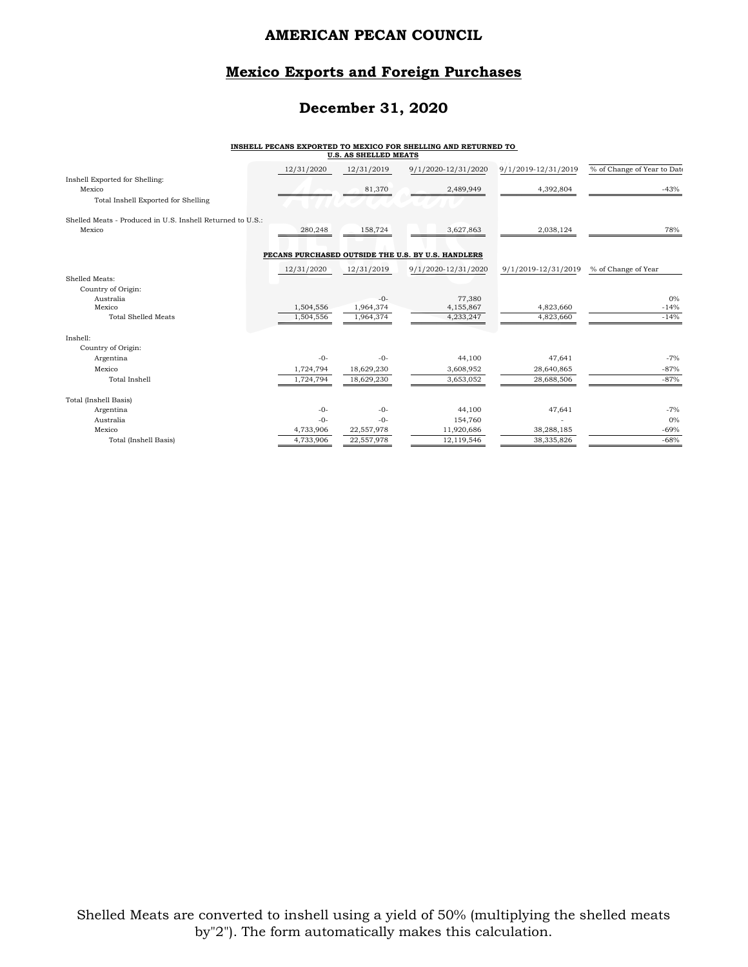## **Mexico Exports and Foreign Purchases**

## **December 31, 2020**

# **INSHELL PECANS EXPORTED TO MEXICO FOR SHELLING AND RETURNED TO U.S. AS SHELLED MEATS**

|                                                            | 12/31/2020 | 12/31/2019 | 9/1/2020-12/31/2020                                | 9/1/2019-12/31/2019 | % of Change of Year to Date |
|------------------------------------------------------------|------------|------------|----------------------------------------------------|---------------------|-----------------------------|
| Inshell Exported for Shelling:<br>Mexico                   |            | 81,370     | 2,489,949                                          | 4,392,804           | $-43%$                      |
| Total Inshell Exported for Shelling                        |            |            |                                                    |                     |                             |
| Shelled Meats - Produced in U.S. Inshell Returned to U.S.: |            |            |                                                    |                     |                             |
| Mexico                                                     | 280,248    | 158,724    | 3,627,863                                          | 2,038,124           | 78%                         |
|                                                            |            |            |                                                    |                     |                             |
|                                                            |            |            | PECANS PURCHASED OUTSIDE THE U.S. BY U.S. HANDLERS |                     |                             |
|                                                            | 12/31/2020 | 12/31/2019 | 9/1/2020-12/31/2020                                | 9/1/2019-12/31/2019 | % of Change of Year         |
| Shelled Meats:                                             |            |            |                                                    |                     |                             |
| Country of Origin:                                         |            |            |                                                    |                     |                             |
| Australia                                                  |            | $-0-$      | 77,380                                             |                     | $0\%$                       |
| Mexico                                                     | 1,504,556  | 1,964,374  | 4,155,867                                          | 4,823,660           | $-14%$                      |
| <b>Total Shelled Meats</b>                                 | 1,504,556  | 1,964,374  | 4,233,247                                          | 4,823,660           | $-14%$                      |
| Inshell:                                                   |            |            |                                                    |                     |                             |
| Country of Origin:                                         |            |            |                                                    |                     |                             |
| Argentina                                                  | $-0-$      | $-0-$      | 44,100                                             | 47,641              | $-7%$                       |
| Mexico                                                     | 1,724,794  | 18,629,230 | 3,608,952                                          | 28,640,865          | $-87%$                      |
| <b>Total Inshell</b>                                       | 1,724,794  | 18,629,230 | 3,653,052                                          | 28,688,506          | $-87%$                      |
| Total (Inshell Basis)                                      |            |            |                                                    |                     |                             |
| Argentina                                                  | $-0-$      | $-0-$      | 44,100                                             | 47,641              | $-7%$                       |
| Australia                                                  | $-0-$      | $-0-$      | 154,760                                            |                     | $0\%$                       |
| Mexico                                                     | 4,733,906  | 22,557,978 | 11,920,686                                         | 38,288,185          | $-69%$                      |
| Total (Inshell Basis)                                      | 4,733,906  | 22,557,978 | 12,119,546                                         | 38,335,826          | $-68%$                      |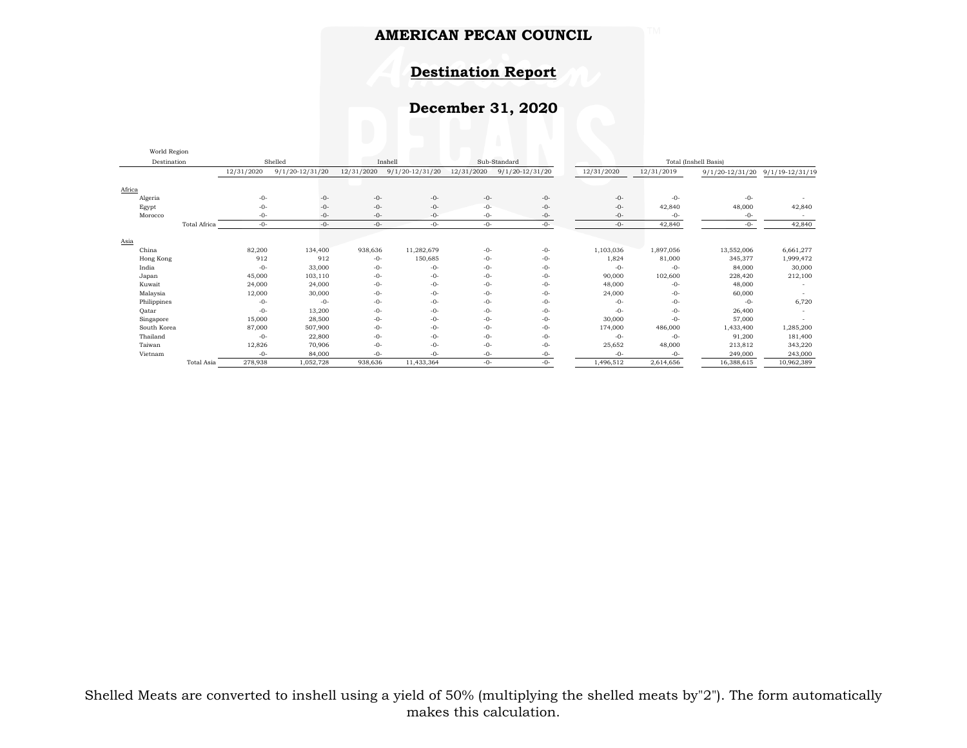## **Destination Report**

# **December 31, 2020**

| World Region |              |            |                     |            |                     |            |                     |            |                       |                 |                     |  |
|--------------|--------------|------------|---------------------|------------|---------------------|------------|---------------------|------------|-----------------------|-----------------|---------------------|--|
| Destination  |              |            | Shelled             |            | Inshell             |            | Sub-Standard        |            | Total (Inshell Basis) |                 |                     |  |
|              |              | 12/31/2020 | $9/1/20 - 12/31/20$ | 12/31/2020 | $9/1/20 - 12/31/20$ | 12/31/2020 | $9/1/20 - 12/31/20$ | 12/31/2020 | 12/31/2019            | 9/1/20-12/31/20 | $9/1/19 - 12/31/19$ |  |
| Africa       |              |            |                     |            |                     |            |                     |            |                       |                 |                     |  |
| Algeria      |              | $-0-$      | $-0-$               | $-0-$      | $-0-$               | $-0-$      | $-0-$               | $-0-$      | $-0-$                 | $-0-$           |                     |  |
| Egypt        |              | $-0-$      | $-0-$               | $-0-$      | $-0-$               | $-0-$      | $-0-$               | $-0-$      | 42,840                | 48,000          | 42,840              |  |
| Morocco      |              | $-0-$      | $-0-$               | $-0-$      | $-0-$               | $-0-$      | $-0-$               | $-0-$      | $-0-$                 | $-0-$           |                     |  |
|              | Total Africa | $-0-$      | $-0-$               | $-0-$      | $-0-$               | $-0-$      | $-0-$               | $-0-$      | 42,840                | $-0-$           | 42,840              |  |
|              |              |            |                     |            |                     |            |                     |            |                       |                 |                     |  |
| Asia         |              |            |                     |            |                     |            |                     |            |                       |                 |                     |  |
| China        |              | 82,200     | 134,400             | 938,636    | 11,282,679          | $-0-$      | $-0-$               | 1,103,036  | 1,897,056             | 13,552,006      | 6,661,277           |  |
| Hong Kong    |              | 912        | 912                 | $-0-$      | 150,685             | $-0-$      | $-0-$               | 1,824      | 81,000                | 345,377         | 1,999,472           |  |
| India        |              | $-0-$      | 33,000              | $-0-$      | $-0-$               | $-0-$      | $-0-$               | $-0-$      | $-0-$                 | 84,000          | 30,000              |  |
| Japan        |              | 45,000     | 103,110             | $-0-$      | $-0-$               | $-0-$      | $-0-$               | 90,000     | 102,600               | 228,420         | 212,100             |  |
| Kuwait       |              | 24,000     | 24,000              | $-0-$      | $-0-$               | $-0-$      | $-0-$               | 48,000     | $-0-$                 | 48,000          |                     |  |
| Malaysia     |              | 12,000     | 30,000              | -0-        | $-0-$               | $-0-$      | $-0-$               | 24,000     | $-0-$                 | 60,000          |                     |  |
| Philippines  |              | $-0-$      | $-0-$               | $-0-$      | $-0-$               | $-0-$      | $-0-$               | $-0-$      | $-0-$                 | $-0-$           | 6,720               |  |
| Qatar        |              | $-0-$      | 13,200              | -0-        | $-0-$               | $-0-$      | $-0-$               | $-0-$      | $-0-$                 | 26,400          |                     |  |
| Singapore    |              | 15,000     | 28,500              | $-0-$      | $-0-$               | $-0-$      | $-0-$               | 30,000     | $-0-$                 | 57,000          |                     |  |
| South Korea  |              | 87,000     | 507,900             | $-0-$      | $-0-$               | $-0-$      | -0-                 | 174,000    | 486,000               | 1,433,400       | 1,285,200           |  |
| Thailand     |              | $-0-$      | 22,800              | $-0-$      | $-0-$               | $-0-$      | $-0-$               | $-0-$      | $-0-$                 | 91,200          | 181,400             |  |
| Taiwan       |              | 12,826     | 70,906              | -0-        | $-0-$               | $-0-$      | $-0-$               | 25,652     | 48,000                | 213,812         | 343,220             |  |
| Vietnam      |              | $-0-$      | 84,000              | -0-        | $-0-$               | $-0-$      | $-0-$               | $-0-$      | $-0-$                 | 249,000         | 243,000             |  |
|              | Total Asia   | 278,938    | 1,052,728           | 938,636    | 11,433,364          | $-0-$      | $-0-$               | 1,496,512  | 2,614,656             | 16,388,615      | 10,962,389          |  |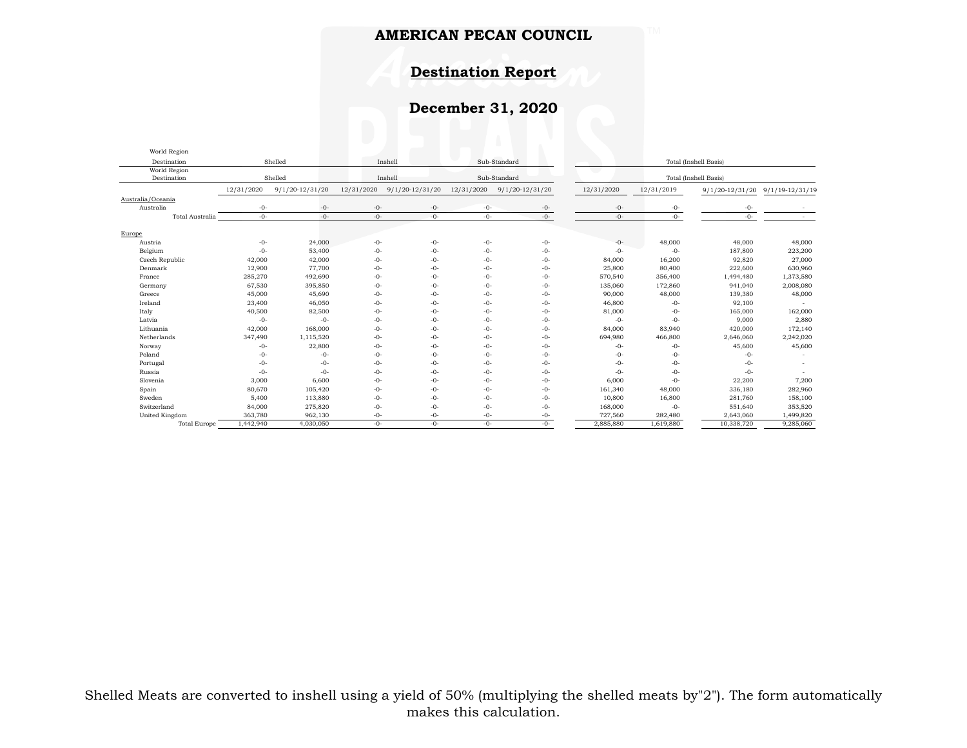## **Destination Report**

# **December 31, 2020**

| World Region                |                                    |                     |            |                     |              |                     |                       |                       |                     |                     |  |
|-----------------------------|------------------------------------|---------------------|------------|---------------------|--------------|---------------------|-----------------------|-----------------------|---------------------|---------------------|--|
| Destination                 | Sub-Standard<br>Shelled<br>Inshell |                     |            |                     |              |                     | Total (Inshell Basis) |                       |                     |                     |  |
| World Region<br>Destination |                                    | Shelled             | Inshell    |                     | Sub-Standard |                     |                       | Total (Inshell Basis) |                     |                     |  |
|                             | 12/31/2020                         | $9/1/20 - 12/31/20$ | 12/31/2020 | $9/1/20 - 12/31/20$ | 12/31/2020   | $9/1/20 - 12/31/20$ | 12/31/2020            | 12/31/2019            | $9/1/20 - 12/31/20$ | $9/1/19 - 12/31/19$ |  |
| Australia/Oceania           |                                    |                     |            |                     |              |                     |                       |                       |                     |                     |  |
| Australia                   | $-0-$                              | -0-                 | $-0-$      | $-0-$               | $-0-$        | $-0-$               | $-0-$                 | $-0-$                 | $-0-$               |                     |  |
| Total Australia             | $-0-$                              | $-0-$               | $-0-$      | $-0-$               | $-0-$        | $-0-$               | $-0-$                 | $-0-$                 | $-0-$               |                     |  |
| Europe                      |                                    |                     |            |                     |              |                     |                       |                       |                     |                     |  |
| Austria                     | $-0-$                              | 24,000              | $-0-$      | $-0-$               | $-0-$        | $-0-$               | $-0-$                 | 48,000                | 48,000              | 48,000              |  |
| Belgium                     | $-0-$                              | 53,400              | $-0-$      | $-0-$               | $-0-$        | $-0-$               | $-0-$                 | $-0-$                 | 187,800             | 223,200             |  |
| Czech Republic              | 42,000                             | 42,000              | $-0-$      | $-0-$               | $-0-$        | $-0-$               | 84,000                | 16,200                | 92,820              | 27,000              |  |
| Denmark                     | 12,900                             | 77,700              | $-0-$      | $-0-$               | $-0-$        | $-0-$               | 25,800                | 80,400                | 222,600             | 630,960             |  |
| France                      | 285,270                            | 492,690             | $-0-$      | $-0-$               | $-0-$        | $-0-$               | 570,540               | 356,400               | 1,494,480           | 1,373,580           |  |
| Germany                     | 67,530                             | 395,850             | $-0-$      | $-0-$               | $-0-$        | $-0-$               | 135,060               | 172,860               | 941,040             | 2,008,080           |  |
| Greece                      | 45,000                             | 45,690              | $-0-$      | $-0-$               | $-0-$        | $-0-$               | 90,000                | 48,000                | 139,380             | 48,000              |  |
| Ireland                     | 23,400                             | 46,050              | $-0-$      | $-0-$               | $-0-$        | $-0-$               | 46,800                | $-0-$                 | 92,100              |                     |  |
| Italy                       | 40,500                             | 82,500              | $-0-$      | $-0-$               | $-0-$        | $-0-$               | 81,000                | $-0-$                 | 165,000             | 162,000             |  |
| Latvia                      | $-0-$                              | $-0-$               | $-0-$      | $-0-$               | $-0-$        | $-0-$               | $-0-$                 | $-0-$                 | 9,000               | 2,880               |  |
| Lithuania                   | 42,000                             | 168,000             | $-0-$      | $-0-$               | $-0-$        | $-0-$               | 84,000                | 83,940                | 420,000             | 172,140             |  |
| Netherlands                 | 347,490                            | 1,115,520           | $-0-$      | $-0-$               | $-0-$        | $-0-$               | 694,980               | 466,800               | 2,646,060           | 2,242,020           |  |
| Norway                      | $-0-$                              | 22,800              | $-0-$      | $-0-$               | $-0-$        | $-0-$               | $-0-$                 | $-0-$                 | 45,600              | 45,600              |  |
| Poland                      | $-0-$                              | $-0-$               | $-0-$      | $-0-$               | $-0-$        | $-0-$               | $-0-$                 | $-0-$                 | $-0-$               |                     |  |
| Portugal                    | $-0-$                              | $-0-$               | $-0-$      | $-0-$               | $-0-$        | $-0-$               | $-0-$                 | $-0-$                 | $-0-$               |                     |  |
| Russia                      | $-0-$                              | $-0-$               | $-0-$      | $-0-$               | $-0-$        | $-0-$               | $-0-$                 | $-0-$                 | $-0-$               |                     |  |
| Slovenia                    | 3,000                              | 6,600               | $-0-$      | $-0-$               | $-0-$        | $-0-$               | 6,000                 | $-0-$                 | 22,200              | 7,200               |  |
| Spain                       | 80,670                             | 105,420             | $-0-$      | $-0-$               | $-0-$        | $-0-$               | 161,340               | 48,000                | 336,180             | 282,960             |  |
| Sweden                      | 5,400                              | 113,880             | $-0-$      | $-0-$               | $-0-$        | $-0-$               | 10,800                | 16,800                | 281,760             | 158,100             |  |
| Switzerland                 | 84,000                             | 275,820             | $-0-$      | $-0-$               | $-0-$        | $-0-$               | 168,000               | $-0-$                 | 551,640             | 353,520             |  |
| United Kingdom              | 363,780                            | 962,130             | $-0-$      | $-0-$               | $-0-$        | -0-                 | 727,560               | 282,480               | 2,643,060           | 1,499,820           |  |
| <b>Total Europe</b>         | 1,442,940                          | 4,030,050           | $-0-$      | $-0-$               | $-0-$        | $-0-$               | 2,885,880             | 1,619,880             | 10,338,720          | 9,285,060           |  |